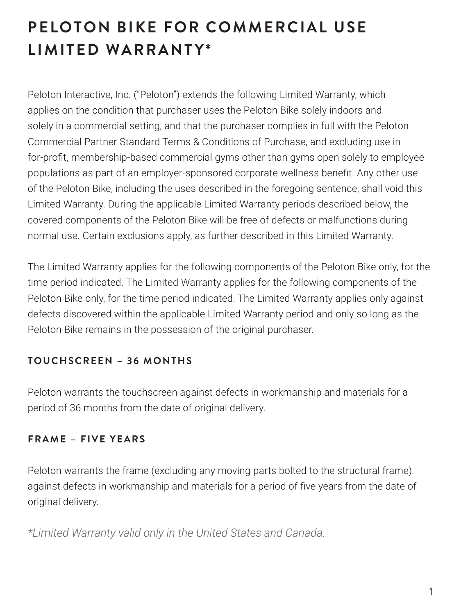# **PELOTON BIKE FOR COMMERCIAL USE LIMITED WARRANTY\***

Peloton Interactive, Inc. ("Peloton") extends the following Limited Warranty, which applies on the condition that purchaser uses the Peloton Bike solely indoors and solely in a commercial setting, and that the purchaser complies in full with the Peloton Commercial Partner Standard Terms & Conditions of Purchase, and excluding use in for-profit, membership-based commercial gyms other than gyms open solely to employee populations as part of an employer-sponsored corporate wellness benefit. Any other use of the Peloton Bike, including the uses described in the foregoing sentence, shall void this Limited Warranty. During the applicable Limited Warranty periods described below, the covered components of the Peloton Bike will be free of defects or malfunctions during normal use. Certain exclusions apply, as further described in this Limited Warranty.

The Limited Warranty applies for the following components of the Peloton Bike only, for the time period indicated. The Limited Warranty applies for the following components of the Peloton Bike only, for the time period indicated. The Limited Warranty applies only against defects discovered within the applicable Limited Warranty period and only so long as the Peloton Bike remains in the possession of the original purchaser.

## **T O U C H S C R E E N – 3 6 M O N T H S**

Peloton warrants the touchscreen against defects in workmanship and materials for a period of 36 months from the date of original delivery.

## **FRAME - FIVE YEARS**

Peloton warrants the frame (excluding any moving parts bolted to the structural frame) against defects in workmanship and materials for a period of five years from the date of original delivery.

*\*Limited Warranty valid only in the United States and Canada.*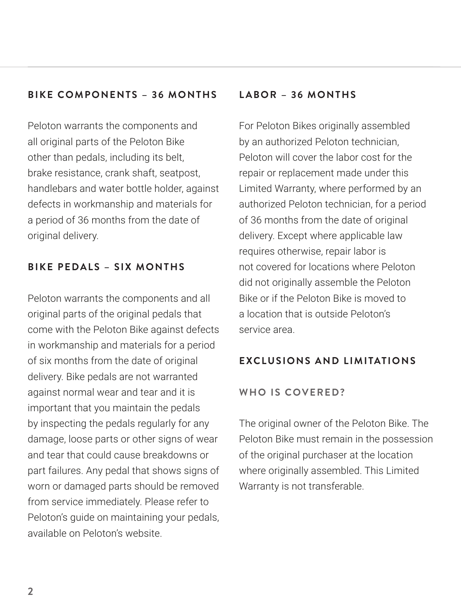## **BIKE COMPONENTS – 36 MONTHS**

Peloton warrants the components and all original parts of the Peloton Bike other than pedals, including its belt, brake resistance, crank shaft, seatpost, handlebars and water bottle holder, against defects in workmanship and materials for a period of 36 months from the date of original delivery.

## **BIKE PEDALS – SIX MONTHS**

Peloton warrants the components and all original parts of the original pedals that come with the Peloton Bike against defects in workmanship and materials for a period of six months from the date of original delivery. Bike pedals are not warranted against normal wear and tear and it is important that you maintain the pedals by inspecting the pedals regularly for any damage, loose parts or other signs of wear and tear that could cause breakdowns or part failures. Any pedal that shows signs of worn or damaged parts should be removed from service immediately. Please refer to Peloton's guide on maintaining your pedals, available on Peloton's website.

## **LABOR – 36 MONTHS**

For Peloton Bikes originally assembled by an authorized Peloton technician, Peloton will cover the labor cost for the repair or replacement made under this Limited Warranty, where performed by an authorized Peloton technician, for a period of 36 months from the date of original delivery. Except where applicable law requires otherwise, repair labor is not covered for locations where Peloton did not originally assemble the Peloton Bike or if the Peloton Bike is moved to a location that is outside Peloton's service area.

## **EXCLUSIONS AND LIMITATIONS**

#### **WHO IS COVERED?**

The original owner of the Peloton Bike. The Peloton Bike must remain in the possession of the original purchaser at the location where originally assembled. This Limited Warranty is not transferable.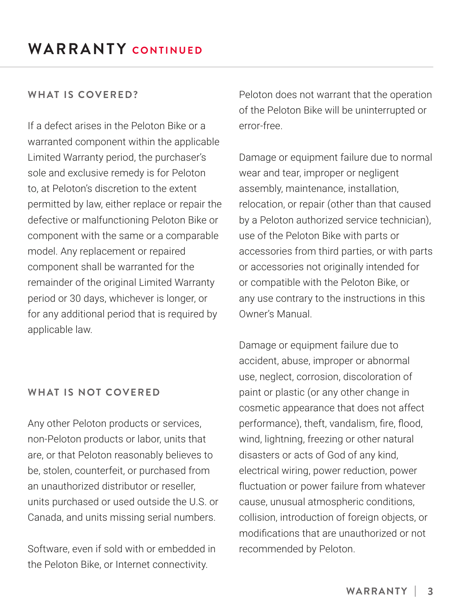#### **WHAT IS COVERED?**

If a defect arises in the Peloton Bike or a warranted component within the applicable Limited Warranty period, the purchaser's sole and exclusive remedy is for Peloton to, at Peloton's discretion to the extent permitted by law, either replace or repair the defective or malfunctioning Peloton Bike or component with the same or a comparable model. Any replacement or repaired component shall be warranted for the remainder of the original Limited Warranty period or 30 days, whichever is longer, or for any additional period that is required by applicable law.

#### **WHAT IS NOT COVERED**

Any other Peloton products or services, non-Peloton products or labor, units that are, or that Peloton reasonably believes to be, stolen, counterfeit, or purchased from an unauthorized distributor or reseller, units purchased or used outside the U.S. or Canada, and units missing serial numbers.

Software, even if sold with or embedded in the Peloton Bike, or Internet connectivity.

Peloton does not warrant that the operation of the Peloton Bike will be uninterrupted or error-free.

Damage or equipment failure due to normal wear and tear, improper or negligent assembly, maintenance, installation, relocation, or repair (other than that caused by a Peloton authorized service technician), use of the Peloton Bike with parts or accessories from third parties, or with parts or accessories not originally intended for or compatible with the Peloton Bike, or any use contrary to the instructions in this Owner's Manual.

Damage or equipment failure due to accident, abuse, improper or abnormal use, neglect, corrosion, discoloration of paint or plastic (or any other change in cosmetic appearance that does not affect performance), theft, vandalism, fire, flood, wind, lightning, freezing or other natural disasters or acts of God of any kind, electrical wiring, power reduction, power fluctuation or power failure from whatever cause, unusual atmospheric conditions, collision, introduction of foreign objects, or modifications that are unauthorized or not recommended by Peloton.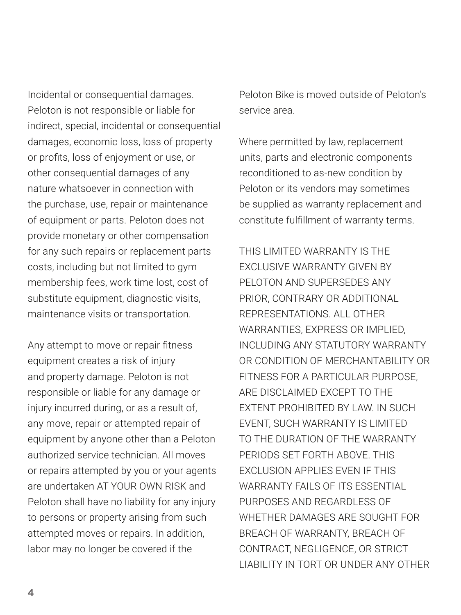Incidental or consequential damages. Peloton is not responsible or liable for indirect, special, incidental or consequential damages, economic loss, loss of property or profits, loss of enjoyment or use, or other consequential damages of any nature whatsoever in connection with the purchase, use, repair or maintenance of equipment or parts. Peloton does not provide monetary or other compensation for any such repairs or replacement parts costs, including but not limited to gym membership fees, work time lost, cost of substitute equipment, diagnostic visits, maintenance visits or transportation.

Any attempt to move or repair fitness equipment creates a risk of injury and property damage. Peloton is not responsible or liable for any damage or injury incurred during, or as a result of, any move, repair or attempted repair of equipment by anyone other than a Peloton authorized service technician. All moves or repairs attempted by you or your agents are undertaken AT YOUR OWN RISK and Peloton shall have no liability for any injury to persons or property arising from such attempted moves or repairs. In addition, labor may no longer be covered if the

Peloton Bike is moved outside of Peloton's service area.

Where permitted by law, replacement units, parts and electronic components reconditioned to as-new condition by Peloton or its vendors may sometimes be supplied as warranty replacement and constitute fulfillment of warranty terms.

THIS LIMITED WARRANTY IS THE EXCLUSIVE WARRANTY GIVEN BY PELOTON AND SUPERSEDES ANY PRIOR, CONTRARY OR ADDITIONAL REPRESENTATIONS. ALL OTHER WARRANTIES, EXPRESS OR IMPLIED, INCLUDING ANY STATUTORY WARRANTY OR CONDITION OF MERCHANTABILITY OR FITNESS FOR A PARTICULAR PURPOSE, ARE DISCLAIMED EXCEPT TO THE EXTENT PROHIBITED BY LAW. IN SUCH EVENT, SUCH WARRANTY IS LIMITED TO THE DURATION OF THE WARRANTY PERIODS SET FORTH ABOVE. THIS EXCLUSION APPLIES EVEN IF THIS WARRANTY FAILS OF ITS ESSENTIAL PURPOSES AND REGARDLESS OF WHETHER DAMAGES ARE SOUGHT FOR BREACH OF WARRANTY, BREACH OF CONTRACT, NEGLIGENCE, OR STRICT LIABILITY IN TORT OR UNDER ANY OTHER